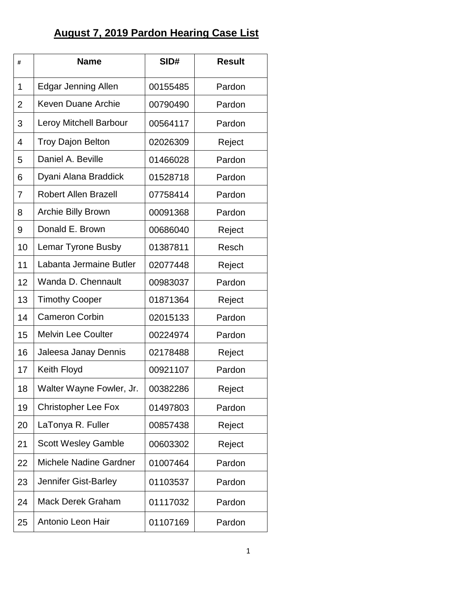## **August 7, 2019 Pardon Hearing Case List**

| #              | <b>Name</b>                   | SID#     | <b>Result</b> |
|----------------|-------------------------------|----------|---------------|
| 1              | <b>Edgar Jenning Allen</b>    | 00155485 | Pardon        |
| $\overline{2}$ | <b>Keven Duane Archie</b>     | 00790490 | Pardon        |
| 3              | <b>Leroy Mitchell Barbour</b> | 00564117 | Pardon        |
| $\overline{4}$ | <b>Troy Dajon Belton</b>      | 02026309 | Reject        |
| 5              | Daniel A. Beville             | 01466028 | Pardon        |
| 6              | Dyani Alana Braddick          | 01528718 | Pardon        |
| $\overline{7}$ | <b>Robert Allen Brazell</b>   | 07758414 | Pardon        |
| 8              | <b>Archie Billy Brown</b>     | 00091368 | Pardon        |
| 9              | Donald E. Brown               | 00686040 | Reject        |
| 10             | <b>Lemar Tyrone Busby</b>     | 01387811 | Resch         |
| 11             | Labanta Jermaine Butler       | 02077448 | Reject        |
| 12             | Wanda D. Chennault            | 00983037 | Pardon        |
| 13             | <b>Timothy Cooper</b>         | 01871364 | Reject        |
| 14             | <b>Cameron Corbin</b>         | 02015133 | Pardon        |
| 15             | <b>Melvin Lee Coulter</b>     | 00224974 | Pardon        |
| 16             | Jaleesa Janay Dennis          | 02178488 | Reject        |
| 17             | Keith Floyd                   | 00921107 | Pardon        |
| 18             | Walter Wayne Fowler, Jr.      | 00382286 | Reject        |
| 19             | <b>Christopher Lee Fox</b>    | 01497803 | Pardon        |
| 20             | LaTonya R. Fuller             | 00857438 | Reject        |
| 21             | <b>Scott Wesley Gamble</b>    | 00603302 | Reject        |
| 22             | <b>Michele Nadine Gardner</b> | 01007464 | Pardon        |
| 23             | Jennifer Gist-Barley          | 01103537 | Pardon        |
| 24             | <b>Mack Derek Graham</b>      | 01117032 | Pardon        |
| 25             | Antonio Leon Hair             | 01107169 | Pardon        |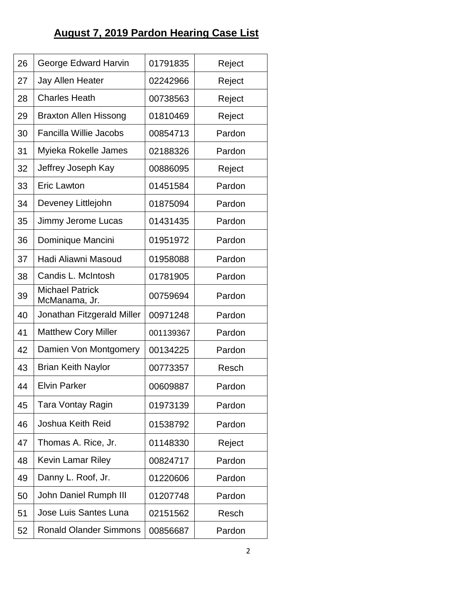## **August 7, 2019 Pardon Hearing Case List**

| 26 | George Edward Harvin                    | 01791835  | Reject |
|----|-----------------------------------------|-----------|--------|
| 27 | <b>Jay Allen Heater</b>                 | 02242966  | Reject |
| 28 | <b>Charles Heath</b>                    | 00738563  | Reject |
| 29 | <b>Braxton Allen Hissong</b>            | 01810469  | Reject |
| 30 | <b>Fancilla Willie Jacobs</b>           | 00854713  | Pardon |
| 31 | Myieka Rokelle James                    | 02188326  | Pardon |
| 32 | Jeffrey Joseph Kay                      | 00886095  | Reject |
| 33 | <b>Eric Lawton</b>                      | 01451584  | Pardon |
| 34 | Deveney Littlejohn                      | 01875094  | Pardon |
| 35 | Jimmy Jerome Lucas                      | 01431435  | Pardon |
| 36 | Dominique Mancini                       | 01951972  | Pardon |
| 37 | Hadi Aliawni Masoud                     | 01958088  | Pardon |
| 38 | Candis L. McIntosh                      | 01781905  | Pardon |
| 39 | <b>Michael Patrick</b><br>McManama, Jr. | 00759694  | Pardon |
| 40 | Jonathan Fitzgerald Miller              | 00971248  | Pardon |
| 41 | <b>Matthew Cory Miller</b>              | 001139367 | Pardon |
| 42 | Damien Von Montgomery                   | 00134225  | Pardon |
| 43 | <b>Brian Keith Naylor</b>               | 00773357  | Resch  |
| 44 | <b>Elvin Parker</b>                     | 00609887  | Pardon |
| 45 | Tara Vontay Ragin                       | 01973139  | Pardon |
| 46 | Joshua Keith Reid                       | 01538792  | Pardon |
| 47 | Thomas A. Rice, Jr.                     | 01148330  | Reject |
| 48 | <b>Kevin Lamar Riley</b>                | 00824717  | Pardon |
| 49 | Danny L. Roof, Jr.                      | 01220606  | Pardon |
| 50 | John Daniel Rumph III                   | 01207748  | Pardon |
| 51 | Jose Luis Santes Luna                   | 02151562  | Resch  |
| 52 | <b>Ronald Olander Simmons</b>           | 00856687  | Pardon |